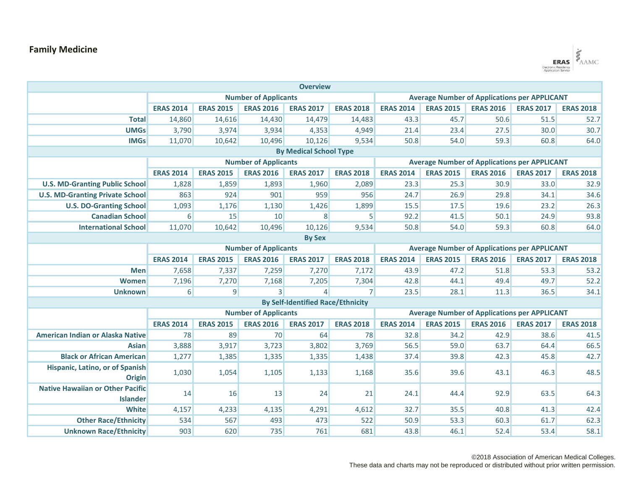## **Family Medicine**



| <b>Overview</b>                                            |                             |                  |                  |                                          |                                                     |                                                     |                  |                  |                  |                  |  |
|------------------------------------------------------------|-----------------------------|------------------|------------------|------------------------------------------|-----------------------------------------------------|-----------------------------------------------------|------------------|------------------|------------------|------------------|--|
|                                                            | <b>Number of Applicants</b> |                  |                  |                                          |                                                     | <b>Average Number of Applications per APPLICANT</b> |                  |                  |                  |                  |  |
|                                                            | <b>ERAS 2014</b>            | <b>ERAS 2015</b> | <b>ERAS 2016</b> | <b>ERAS 2017</b>                         | <b>ERAS 2018</b>                                    | <b>ERAS 2014</b>                                    | <b>ERAS 2015</b> | <b>ERAS 2016</b> | <b>ERAS 2017</b> | <b>ERAS 2018</b> |  |
| <b>Total</b>                                               | 14,860                      | 14,616           | 14,430           | 14,479                                   | 14,483                                              | 43.3                                                | 45.7             | 50.6             | 51.5             | 52.7             |  |
| <b>UMGs</b>                                                | 3,790                       | 3,974            | 3,934            | 4,353                                    | 4,949                                               | 21.4                                                | 23.4             | 27.5             | 30.0             | 30.7             |  |
| <b>IMGs</b>                                                | 11,070                      | 10,642           | 10,496           | 10,126                                   | 9,534                                               | 50.8                                                | 54.0             | 59.3             | 60.8             | 64.0             |  |
| <b>By Medical School Type</b>                              |                             |                  |                  |                                          |                                                     |                                                     |                  |                  |                  |                  |  |
|                                                            | <b>Number of Applicants</b> |                  |                  |                                          | <b>Average Number of Applications per APPLICANT</b> |                                                     |                  |                  |                  |                  |  |
|                                                            | <b>ERAS 2014</b>            | <b>ERAS 2015</b> | <b>ERAS 2016</b> | <b>ERAS 2017</b>                         | <b>ERAS 2018</b>                                    | <b>ERAS 2014</b>                                    | <b>ERAS 2015</b> | <b>ERAS 2016</b> | <b>ERAS 2017</b> | <b>ERAS 2018</b> |  |
| <b>U.S. MD-Granting Public School</b>                      | 1,828                       | 1,859            | 1,893            | 1,960                                    | 2,089                                               | 23.3                                                | 25.3             | 30.9             | 33.0             | 32.9             |  |
| <b>U.S. MD-Granting Private School</b>                     | 863                         | 924              | 901              | 959                                      | 956                                                 | 24.7                                                | 26.9             | 29.8             | 34.1             | 34.6             |  |
| <b>U.S. DO-Granting School</b>                             | 1,093                       | 1,176            | 1,130            | 1,426                                    | 1,899                                               | 15.5                                                | 17.5             | 19.6             | 23.2             | 26.3             |  |
| <b>Canadian School</b>                                     | $6 \mid$                    | 15               | 10               | 8                                        | 5 <sup>1</sup>                                      | 92.2                                                | 41.5             | 50.1             | 24.9             | 93.8             |  |
| <b>International School</b>                                | 11,070                      | 10,642           | 10,496           | 10,126                                   | 9,534                                               | 50.8                                                | 54.0             | 59.3             | 60.8             | 64.0             |  |
| <b>By Sex</b>                                              |                             |                  |                  |                                          |                                                     |                                                     |                  |                  |                  |                  |  |
|                                                            | <b>Number of Applicants</b> |                  |                  |                                          | <b>Average Number of Applications per APPLICANT</b> |                                                     |                  |                  |                  |                  |  |
|                                                            | <b>ERAS 2014</b>            | <b>ERAS 2015</b> | <b>ERAS 2016</b> | <b>ERAS 2017</b>                         | <b>ERAS 2018</b>                                    | <b>ERAS 2014</b>                                    | <b>ERAS 2015</b> | <b>ERAS 2016</b> | <b>ERAS 2017</b> | <b>ERAS 2018</b> |  |
| <b>Men</b>                                                 | 7,658                       | 7,337            | 7,259            | 7,270                                    | 7,172                                               | 43.9                                                | 47.2             | 51.8             | 53.3             | 53.2             |  |
| Women                                                      | 7,196                       | 7,270            | 7,168            | 7,205                                    | 7,304                                               | 42.8                                                | 44.1             | 49.4             | 49.7             | 52.2             |  |
| <b>Unknown</b>                                             | 6                           | $\overline{9}$   | $\overline{3}$   | $\overline{4}$                           | 7                                                   | 23.5                                                | 28.1             | 11.3             | 36.5             | 34.1             |  |
|                                                            |                             |                  |                  | <b>By Self-Identified Race/Ethnicity</b> |                                                     |                                                     |                  |                  |                  |                  |  |
|                                                            | <b>Number of Applicants</b> |                  |                  |                                          | <b>Average Number of Applications per APPLICANT</b> |                                                     |                  |                  |                  |                  |  |
|                                                            | <b>ERAS 2014</b>            | <b>ERAS 2015</b> | <b>ERAS 2016</b> | <b>ERAS 2017</b>                         | <b>ERAS 2018</b>                                    | <b>ERAS 2014</b>                                    | <b>ERAS 2015</b> | <b>ERAS 2016</b> | <b>ERAS 2017</b> | <b>ERAS 2018</b> |  |
| American Indian or Alaska Native                           | 78                          | 89               | 70               | 64                                       | 78                                                  | 32.8                                                | 34.2             | 42.9             | 38.6             | 41.5             |  |
| <b>Asian</b>                                               | 3,888                       | 3,917            | 3,723            | 3,802                                    | 3,769                                               | 56.5                                                | 59.0             | 63.7             | 64.4             | 66.5             |  |
| <b>Black or African American</b>                           | 1,277                       | 1,385            | 1,335            | 1,335                                    | 1,438                                               | 37.4                                                | 39.8             | 42.3             | 45.8             | 42.7             |  |
| Hispanic, Latino, or of Spanish<br><b>Origin</b>           | 1,030                       | 1,054            | 1,105            | 1,133                                    | 1,168                                               | 35.6                                                | 39.6             | 43.1             | 46.3             | 48.5             |  |
| <b>Native Hawaiian or Other Pacific</b><br><b>Islander</b> | 14                          | 16               | 13               | 24                                       | 21                                                  | 24.1                                                | 44.4             | 92.9             | 63.5             | 64.3             |  |
| <b>White</b>                                               | 4,157                       | 4,233            | 4,135            | 4,291                                    | 4,612                                               | 32.7                                                | 35.5             | 40.8             | 41.3             | 42.4             |  |
| <b>Other Race/Ethnicity</b>                                | 534                         | 567              | 493              | 473                                      | 522                                                 | 50.9                                                | 53.3             | 60.3             | 61.7             | 62.3             |  |
| <b>Unknown Race/Ethnicity</b>                              | 903                         | 620              | 735              | 761                                      | 681                                                 | 43.8                                                | 46.1             | 52.4             | 53.4             | 58.1             |  |

©2018 Association of American Medical Colleges.

These data and charts may not be reproduced or distributed without prior written permission.